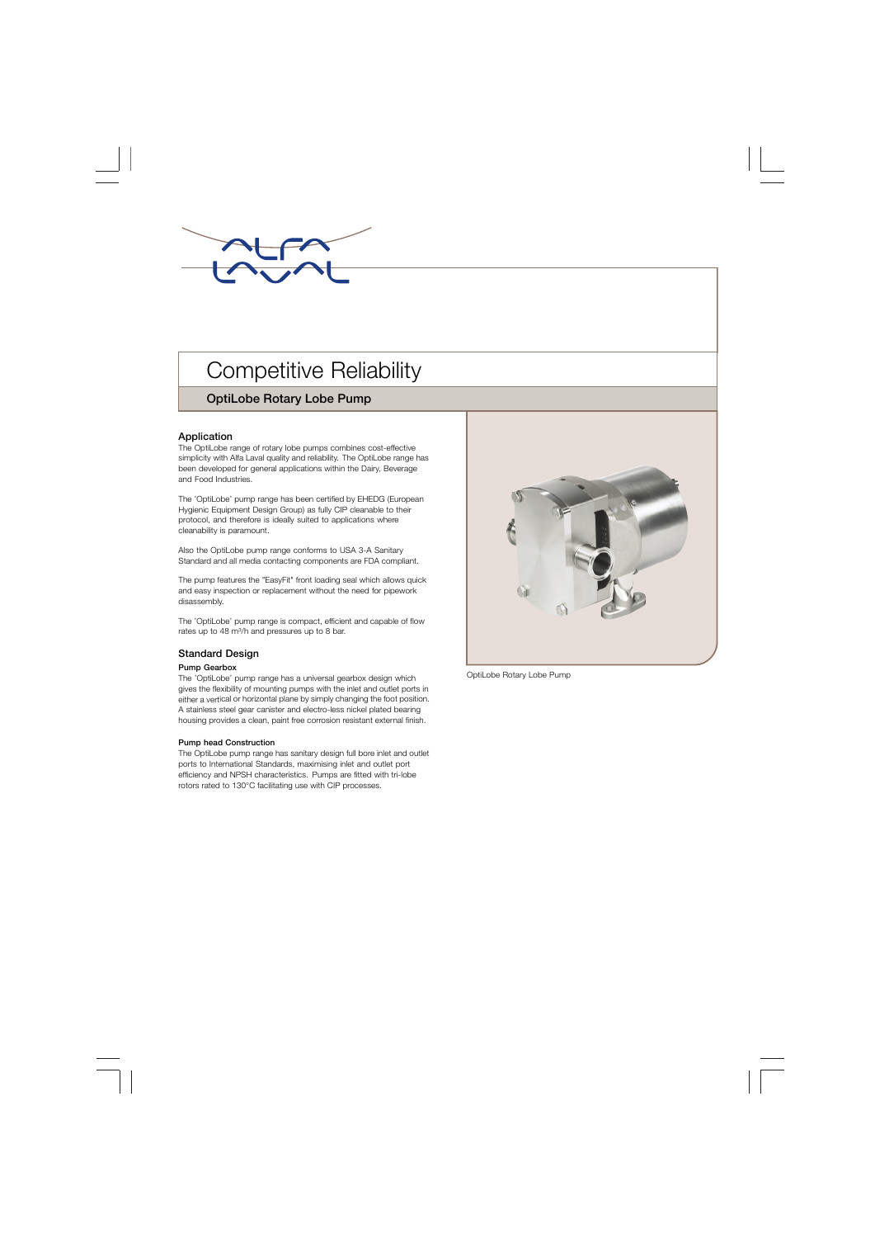

# **Competitive Reliability**

# **OptiLobe Rotary Lobe Pump**

## **Application**

The OptiLobe range of rotary lobe pumps combines cost-effective simplicity with Alfa Laval quality and reliability. The OptiLobe range has been developed for general applications within the Dairy, Beverage and Food Industries.

The 'OptiLobe' pump range has been certified by EHEDG (European Hygienic Equipment Design Group) as fully CIP cleanable to their protocol, and therefore is ideally suited to applications where cleanability is paramount.

Also the OptiLobe pump range conforms to USA 3-A Sanitary Standard and all media contacting components are FDA compliant.

The pump features the "EasyFit" front loading seal which allows quick and easy inspection or replacement without the need for pipework disassembly.

The 'OptiLobe' pump range is compact, efficient and capable of flow rates up to 48 m<sup>3</sup>/h and pressures up to 8 bar.

## **Standard Design**

#### **Pump Gearbox**

. housing provides a clean, paint free corrosion resistant external finish. The 'OptiLobe' pump range has a universal gearbox design which gives the flexibility of mounting pumps with the inlet and outlet ports in either a vertical or horizontal plane by simply changing the foot position. A stainless steel gear canister and electro-less nickel plated bearing

#### **Pump head Construction**

The OptiLobe pump range has sanitary design full bore inlet and outlet ports to International Standards, maximising inlet and outlet port efficiency and NPSH characteristics. Pumps are fitted with tri-lobe rotors rated to 130°C facilitating use with CIP processes.



OptiLobe Rotary Lobe Pump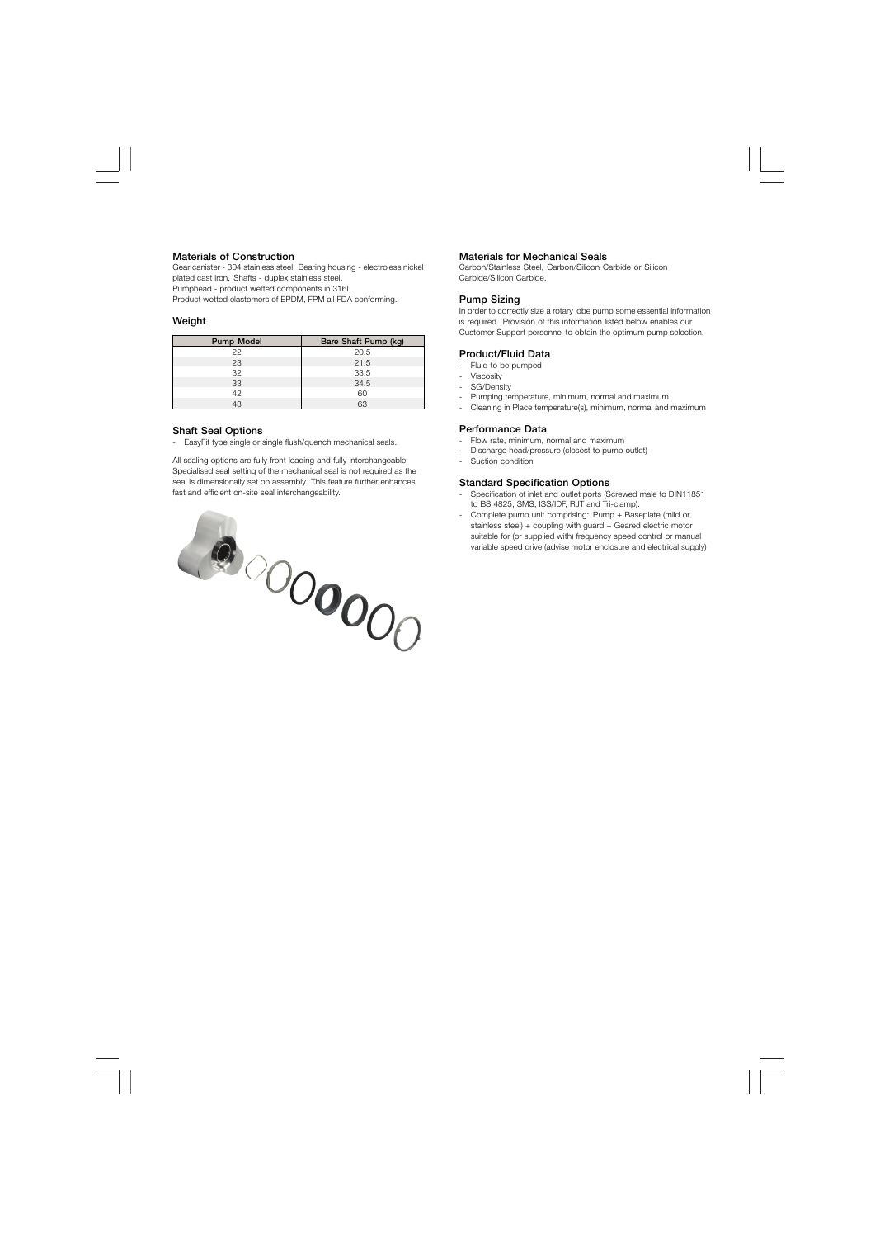#### **Materials of Construction**

Gear canister - 304 stainless steel. Bearing housing - electroless nickel plated cast iron. Shafts - duplex stainless steel. Pumphead - product wetted components in 316L .

Product wetted elastomers of EPDM, FPM all FDA conforming.

#### **Weight**

| Pump Model | Bare Shaft Pump (kg) |
|------------|----------------------|
| 22         | 20.5                 |
| 23         | 21.5                 |
| 32         | 33.5                 |
| 33         | 34.5                 |
| 42         | 60                   |
|            | 63                   |

## **Shaft Seal Options**

- EasyFit type single or single flush/quench mechanical seals.

All sealing options are fully front loading and fully interchangeable. Specialised seal setting of the mechanical seal is not required as the seal is dimensionally set on assembly. This feature further enhances fast and efficient on-site seal interchangeability.



#### **Materials for Mechanical Seals**

Carbon/Stainless Steel, Carbon/Silicon Carbide or Silicon Carbide/Silicon Carbide.

#### **Pump Sizing**

In order to correctly size a rotary lobe pump some essential information is required. Provision of this information listed below enables our Customer Support personnel to obtain the optimum pump selection.

## **Product/Fluid Data**

- Fluid to be pumped
- **Viscosity**
- SG/Density
- Pumping temperature, minimum, normal and maximum
- Cleaning in Place temperature(s), minimum, normal and maximum

### **Performance Data**

- Flow rate, minimum, normal and maximum
- Discharge head/pressure (closest to pump outlet)
- Suction condition

### **Standard Specification Options**

- Specification of inlet and outlet ports (Screwed male to DIN11851 to BS 4825, SMS, ISS/IDF, RJT and Tri-clamp).
- Complete pump unit comprising: Pump + Baseplate (mild or stainless steel) + coupling with guard + Geared electric motor suitable for (or supplied with) frequency speed control or manual variable speed drive (advise motor enclosure and electrical supply)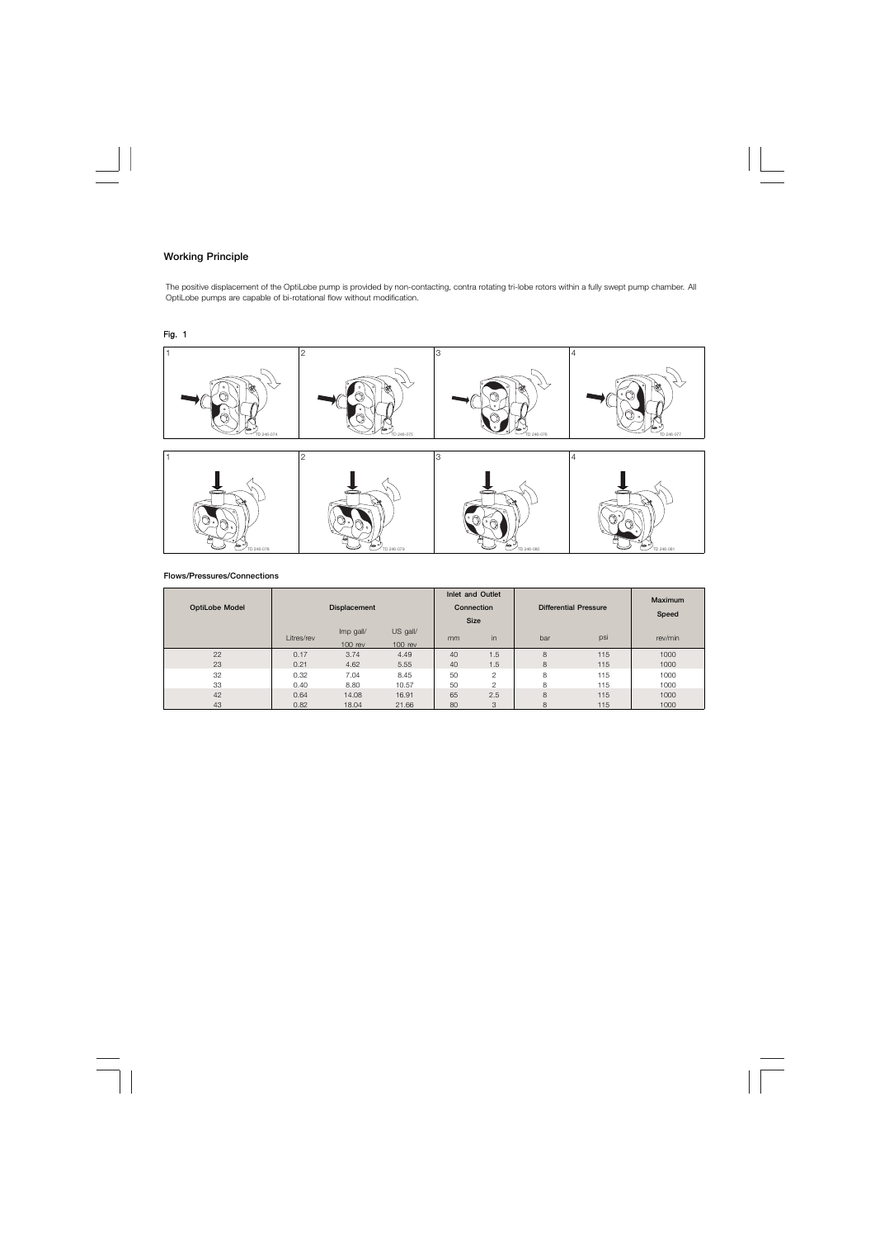# **Working Principle**

The positive displacement of the OptiLobe pump is provided by non-contacting, contra rotating tri-lobe rotors within a fully swept pump chamber. All OptiLobe pumps are capable of bi-rotational flow without modification.

# Fig. 1



#### **Flows/Pressures/Connections**

| <b>OptiLobe Model</b> |            | <b>Displacement</b>                               |       | Inlet and Outlet<br>Connection<br><b>Size</b> |                | <b>Differential Pressure</b> | <b>Maximum</b><br>Speed |         |  |
|-----------------------|------------|---------------------------------------------------|-------|-----------------------------------------------|----------------|------------------------------|-------------------------|---------|--|
|                       | Litres/rev | $US$ gall/<br>Imp gall/<br>$100$ rev<br>$100$ rev |       | mm                                            | in             | bar                          | psi                     | rev/min |  |
| 22                    | 0.17       | 3.74                                              | 4.49  | 40                                            | 1.5            | 8                            | 115                     | 1000    |  |
| 23                    | 0.21       | 4.62                                              | 5.55  | 40                                            | 1.5            | 8                            | 115                     | 1000    |  |
| 32                    | 0.32       | 7.04                                              | 8.45  | 50                                            | $\overline{2}$ | 8                            | 115                     | 1000    |  |
| 33                    | 0.40       | 8.80                                              | 10.57 | 50                                            | $\mathfrak{p}$ | 8                            | 115                     | 1000    |  |
| 42                    | 0.64       | 14.08                                             | 16.91 | 65                                            | 2.5            | 8                            | 115                     | 1000    |  |
| 43                    | 0.82       | 18.04                                             | 21.66 | 80                                            | 3              | 8                            | 115                     | 1000    |  |